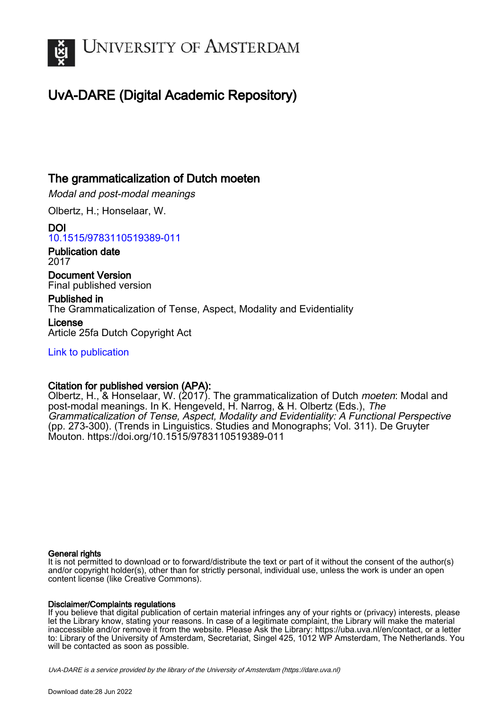

# UvA-DARE (Digital Academic Repository)

### The grammaticalization of Dutch moeten

Modal and post-modal meanings

Olbertz, H.; Honselaar, W.

DOI [10.1515/9783110519389-011](https://doi.org/10.1515/9783110519389-011)

Publication date 2017

Document Version Final published version

Published in The Grammaticalization of Tense, Aspect, Modality and Evidentiality

License Article 25fa Dutch Copyright Act

[Link to publication](https://dare.uva.nl/personal/pure/en/publications/the-grammaticalization-of-dutch-moeten(a662f8e8-cdf8-4dc0-8e4e-39f1e7af95c3).html)

#### Citation for published version (APA):

Olbertz, H., & Honselaar, W. (2017). The grammaticalization of Dutch *moeten*: Modal and post-modal meanings. In K. Hengeveld, H. Narrog, & H. Olbertz (Eds.), The Grammaticalization of Tense, Aspect, Modality and Evidentiality: A Functional Perspective (pp. 273-300). (Trends in Linguistics. Studies and Monographs; Vol. 311). De Gruyter Mouton. <https://doi.org/10.1515/9783110519389-011>

#### General rights

It is not permitted to download or to forward/distribute the text or part of it without the consent of the author(s) and/or copyright holder(s), other than for strictly personal, individual use, unless the work is under an open content license (like Creative Commons).

#### Disclaimer/Complaints regulations

If you believe that digital publication of certain material infringes any of your rights or (privacy) interests, please let the Library know, stating your reasons. In case of a legitimate complaint, the Library will make the material inaccessible and/or remove it from the website. Please Ask the Library: https://uba.uva.nl/en/contact, or a letter to: Library of the University of Amsterdam, Secretariat, Singel 425, 1012 WP Amsterdam, The Netherlands. You will be contacted as soon as possible.

UvA-DARE is a service provided by the library of the University of Amsterdam (http*s*://dare.uva.nl)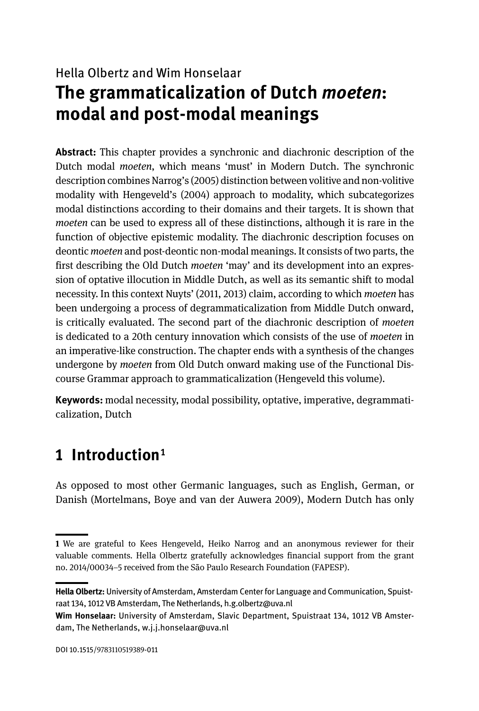# Hella Olbertz and Wim Honselaar **The grammaticalization of Dutch** *moeten***: modal and post-modal meanings**

**Abstract:** This chapter provides a synchronic and diachronic description of the Dutch modal *moeten*, which means 'must' in Modern Dutch. The synchronic description combines Narrog's (2005) distinction between volitive and non-volitive modality with Hengeveld's (2004) approach to modality, which subcategorizes modal distinctions according to their domains and their targets. It is shown that *moeten* can be used to express all of these distinctions, although it is rare in the function of objective epistemic modality. The diachronic description focuses on deontic *moeten* and post-deontic non-modal meanings. It consists of two parts, the first describing the Old Dutch *moeten* 'may' and its development into an expression of optative illocution in Middle Dutch, as well as its semantic shift to modal necessity. In this context Nuyts' (2011, 2013) claim, according to which *moeten* has been undergoing a process of degrammaticalization from Middle Dutch onward, is critically evaluated. The second part of the diachronic description of *moeten*  is dedicated to a 20th century innovation which consists of the use of *moeten* in an imperative-like construction. The chapter ends with a synthesis of the changes undergone by *moeten* from Old Dutch onward making use of the Functional Discourse Grammar approach to grammaticalization (Hengeveld this volume).

**Keywords:** modal necessity, modal possibility, optative, imperative, degrammaticalization, Dutch

## **1 Introduction**1

As opposed to most other Germanic languages, such as English, German, or Danish (Mortelmans, Boye and van der Auwera 2009), Modern Dutch has only

**<sup>1</sup>** We are grateful to Kees Hengeveld, Heiko Narrog and an anonymous reviewer for their valuable comments. Hella Olbertz gratefully acknowledges financial support from the grant no. 2014/00034‒5 received from the São Paulo Research Foundation (FAPESP).

**Hella Olbertz:** University of Amsterdam, Amsterdam Center for Language and Communication, Spuistraat 134, 1012 VB Amsterdam, The Netherlands, h.g.olbertz@uva.nl

**Wim Honselaar:** University of Amsterdam, Slavic Department, Spuistraat 134, 1012 VB Amsterdam, The Netherlands, w.j.j.honselaar@uva.nl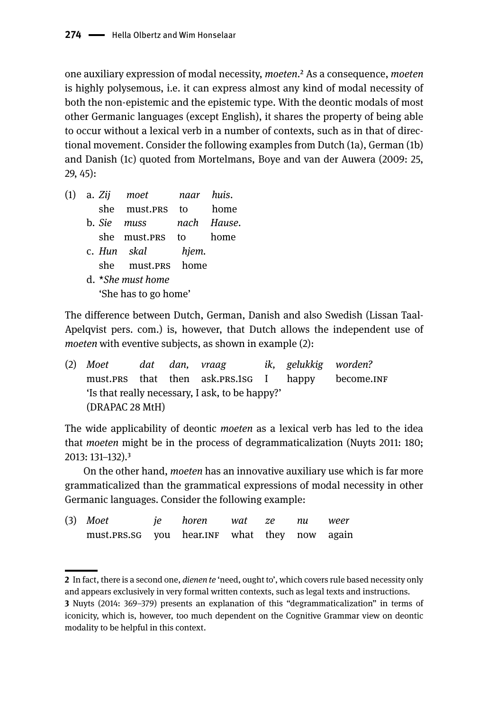one auxiliary expression of modal necessity, *moeten*.2 As a consequence, *moeten* is highly polysemous, i.e. it can express almost any kind of modal necessity of both the non-epistemic and the epistemic type. With the deontic modals of most other Germanic languages (except English), it shares the property of being able to occur without a lexical verb in a number of contexts, such as in that of directional movement. Consider the following examples from Dutch (1a), German (1b) and Danish (1c) quoted from Mortelmans, Boye and van der Auwera (2009: 25, 29, 45):

| (1) |  | a. Zij moet   naar huis. |       |             |
|-----|--|--------------------------|-------|-------------|
|     |  | she must.prs to          |       | home        |
|     |  | b. Sie muss              |       | nach Hause. |
|     |  | she must.prs to home     |       |             |
|     |  | c. Hun skal              | hjem. |             |
|     |  | she must.prs home        |       |             |
|     |  | d. *She must home        |       |             |
|     |  | 'She has to go home'     |       |             |

The difference between Dutch, German, Danish and also Swedish (Lissan Taal-Apelqvist pers. com.) is, however, that Dutch allows the independent use of *moeten* with eventive subjects, as shown in example (2):

(2) *Moet dat dan, vraag ik, gelukkig worden?* must.prs that then ask.prs.1sg I happy become.INF 'Is that really necessary, I ask, to be happy?' (DRAPAC 28 MtH)

The wide applicability of deontic *moeten* as a lexical verb has led to the idea that *moeten* might be in the process of degrammaticalization (Nuyts 2011: 180; 2013: 131-132).<sup>3</sup>

On the other hand, *moeten* has an innovative auxiliary use which is far more grammaticalized than the grammatical expressions of modal necessity in other Germanic languages. Consider the following example:

| $(3)$ Moet                                   | je horen wat ze nu weer |  |  |
|----------------------------------------------|-------------------------|--|--|
| must.PRS.SG you hear.INF what they now again |                         |  |  |

**<sup>2</sup>** In fact, there is a second one, *dienen te* 'need, ought to', which covers rule based necessity only and appears exclusively in very formal written contexts, such as legal texts and instructions. **3** Nuyts (2014: 369–379) presents an explanation of this "degrammaticalization" in terms of iconicity, which is, however, too much dependent on the Cognitive Grammar view on deontic modality to be helpful in this context.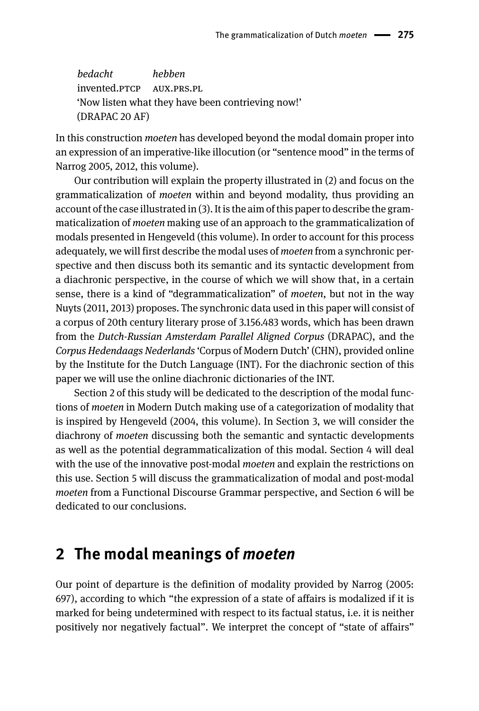*bedacht hebben* invented.ptcp aux.prs.pl 'Now listen what they have been contrieving now!' (DRAPAC 20 AF)

In this construction *moeten* has developed beyond the modal domain proper into an expression of an imperative-like illocution (or "sentence mood" in the terms of Narrog 2005, 2012, this volume).

Our contribution will explain the property illustrated in (2) and focus on the grammaticalization of *moeten* within and beyond modality, thus providing an account of the case illustrated in (3). It is the aim of this paper to describe the grammaticalization of *moeten* making use of an approach to the grammaticalization of modals presented in Hengeveld (this volume). In order to account for this process adequately, we will first describe the modal uses of *moeten* from a synchronic perspective and then discuss both its semantic and its syntactic development from a diachronic perspective, in the course of which we will show that, in a certain sense, there is a kind of "degrammaticalization" of *moeten*, but not in the way Nuyts (2011, 2013) proposes. The synchronic data used in this paper will consist of a corpus of 20th century literary prose of 3.156.483 words, which has been drawn from the *Dutch-Russian Amsterdam Parallel Aligned Corpus* (DRAPAC), and the *Corpus Hedendaags Nederlands* 'Corpus of Modern Dutch' (CHN), provided online by the Institute for the Dutch Language (INT). For the diachronic section of this paper we will use the online diachronic dictionaries of the INT.

Section 2 of this study will be dedicated to the description of the modal functions of *moeten* in Modern Dutch making use of a categorization of modality that is inspired by Hengeveld (2004, this volume). In Section 3, we will consider the diachrony of *moeten* discussing both the semantic and syntactic developments as well as the potential degrammaticalization of this modal. Section 4 will deal with the use of the innovative post-modal *moeten* and explain the restrictions on this use. Section 5 will discuss the grammaticalization of modal and post-modal *moeten* from a Functional Discourse Grammar perspective, and Section 6 will be dedicated to our conclusions.

## **2 The modal meanings of** *moeten*

Our point of departure is the definition of modality provided by Narrog (2005: 697), according to which "the expression of a state of affairs is modalized if it is marked for being undetermined with respect to its factual status, i.e. it is neither positively nor negatively factual". We interpret the concept of "state of affairs"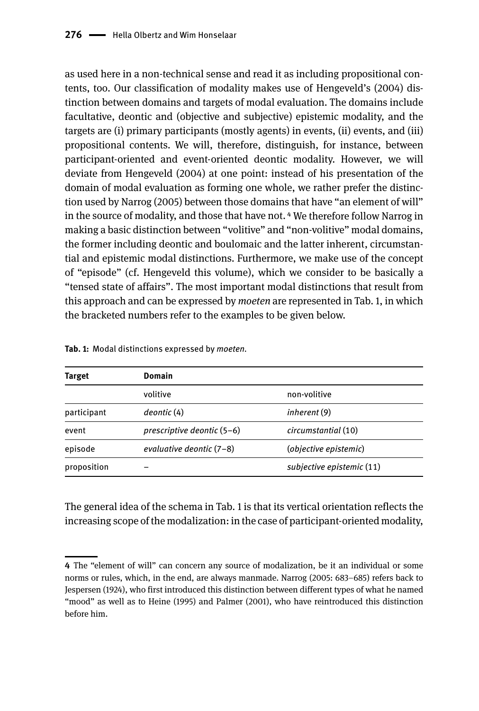as used here in a non-technical sense and read it as including propositional contents, too. Our classification of modality makes use of Hengeveld's (2004) distinction between domains and targets of modal evaluation. The domains include facultative, deontic and (objective and subjective) epistemic modality, and the targets are (i) primary participants (mostly agents) in events, (ii) events, and (iii) propositional contents. We will, therefore, distinguish, for instance, between participant-oriented and event-oriented deontic modality. However, we will deviate from Hengeveld (2004) at one point: instead of his presentation of the domain of modal evaluation as forming one whole, we rather prefer the distinction used by Narrog (2005) between those domains that have "an element of will" in the source of modality, and those that have not.4 We therefore follow Narrog in making a basic distinction between "volitive" and "non-volitive" modal domains, the former including deontic and boulomaic and the latter inherent, circumstantial and epistemic modal distinctions. Furthermore, we make use of the concept of "episode" (cf. Hengeveld this volume), which we consider to be basically a "tensed state of affairs". The most important modal distinctions that result from this approach and can be expressed by *moeten* are represented in Tab. 1, in which the bracketed numbers refer to the examples to be given below.

| Target      | Domain                     |                           |
|-------------|----------------------------|---------------------------|
|             | volitive                   | non-volitive              |
| participant | deontic (4)                | inherent (9)              |
| event       | prescriptive deontic (5-6) | circumstantial (10)       |
| episode     | evaluative deontic (7-8)   | (objective epistemic)     |
| proposition |                            | subjective epistemic (11) |

**Tab. 1:** Modal distinctions expressed by *moeten.*

The general idea of the schema in Tab. 1 is that its vertical orientation reflects the increasing scope of the modalization: in the case of participant-oriented modality,

**<sup>4</sup>** The "element of will" can concern any source of modalization, be it an individual or some norms or rules, which, in the end, are always manmade. Narrog (2005: 683–685) refers back to Jespersen (1924), who first introduced this distinction between different types of what he named "mood" as well as to Heine (1995) and Palmer (2001), who have reintroduced this distinction before him.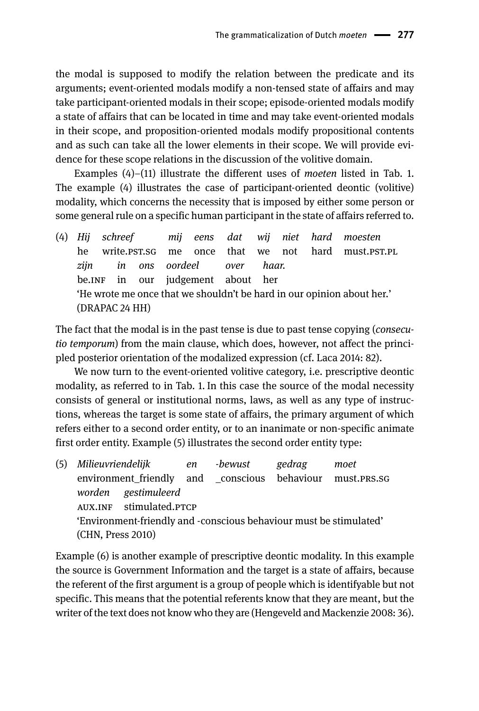the modal is supposed to modify the relation between the predicate and its arguments; event-oriented modals modify a non-tensed state of affairs and may take participant-oriented modals in their scope; episode-oriented modals modify a state of affairs that can be located in time and may take event-oriented modals in their scope, and proposition-oriented modals modify propositional contents and as such can take all the lower elements in their scope. We will provide evidence for these scope relations in the discussion of the volitive domain.

Examples (4)–(11) illustrate the different uses of *moeten* listed in Tab. 1. The example (4) illustrates the case of participant-oriented deontic (volitive) modality, which concerns the necessity that is imposed by either some person or some general rule on a specific human participant in the state of affairs referred to.

(4) *Hij schreef mij eens dat wij niet hard moesten* he write.pst.sg me once that we not hard must.pst.pl *zijn in ons oordeel over haar.* be.INF in our judgement about her 'He wrote me once that we shouldn't be hard in our opinion about her.' (DRAPAC 24 HH)

The fact that the modal is in the past tense is due to past tense copying (*consecutio temporum*) from the main clause, which does, however, not affect the principled posterior orientation of the modalized expression (cf. Laca 2014: 82).

We now turn to the event-oriented volitive category, i.e. prescriptive deontic modality, as referred to in Tab. 1. In this case the source of the modal necessity consists of general or institutional norms, laws, as well as any type of instructions, whereas the target is some state of affairs, the primary argument of which refers either to a second order entity, or to an inanimate or non-specific animate first order entity. Example (5) illustrates the second order entity type:

| (5) Milieuvriendelijk en |                                                                    | -bewust | gedrag | moet |
|--------------------------|--------------------------------------------------------------------|---------|--------|------|
|                          | environment_friendly and _conscious behaviour must.PRS.SG          |         |        |      |
|                          | worden gestimuleerd                                                |         |        |      |
|                          | AUX.INF stimulated.PTCP                                            |         |        |      |
|                          | 'Environment-friendly and -conscious behaviour must be stimulated' |         |        |      |
| (CHN, Press 2010)        |                                                                    |         |        |      |

Example (6) is another example of prescriptive deontic modality. In this example the source is Government Information and the target is a state of affairs, because the referent of the first argument is a group of people which is identifyable but not specific. This means that the potential referents know that they are meant, but the writer of the text does not know who they are (Hengeveld and Mackenzie 2008: 36).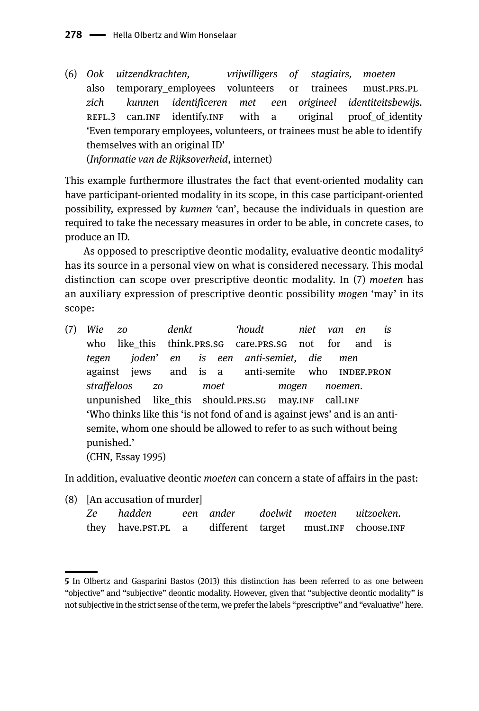(6) *Ook uitzendkrachten, vrijwilligers of stagiairs, moeten* also temporary\_employees volunteers or trainees must.PRS.PL *zich kunnen identificeren met een origineel identiteitsbewijs.* REFL.3 can.INF identify.INF with a original proof of identity 'Even temporary employees, volunteers, or trainees must be able to identify themselves with an original ID' (*Informatie van de Rijksoverheid*, internet)

This example furthermore illustrates the fact that event-oriented modality can have participant-oriented modality in its scope, in this case participant-oriented possibility, expressed by *kunnen* 'can', because the individuals in question are required to take the necessary measures in order to be able, in concrete cases, to produce an ID.

As opposed to prescriptive deontic modality, evaluative deontic modality<sup>5</sup> has its source in a personal view on what is considered necessary. This modal distinction can scope over prescriptive deontic modality. In (7) *moeten* has an auxiliary expression of prescriptive deontic possibility *mogen* 'may' in its scope:

(7) *Wie zo denkt 'houdt niet van en is* who like this think.prs.sg care.prs.sg not for and is *tegen joden' en is een anti-semiet, die men* against jews and is a anti-semite who INDEF.PRON *straffeloos zo moet mogen noemen*. unpunished like this should.prs.sg may.INF call.INF 'Who thinks like this 'is not fond of and is against jews' and is an antisemite, whom one should be allowed to refer to as such without being punished.' (CHN, Essay 1995)

In addition, evaluative deontic *moeten* can concern a state of affairs in the past:

(8) [An accusation of murder]

| Ze | hadden             | een ander        |  | doelwit moeten uitzoeken. |
|----|--------------------|------------------|--|---------------------------|
|    | they have.PST.PL a | different target |  | must.INF choose.INF       |

**<sup>5</sup>** In Olbertz and Gasparini Bastos (2013) this distinction has been referred to as one between "objective" and "subjective" deontic modality. However, given that "subjective deontic modality" is not subjective in the strict sense of the term, we prefer the labels "prescriptive" and "evaluative" here.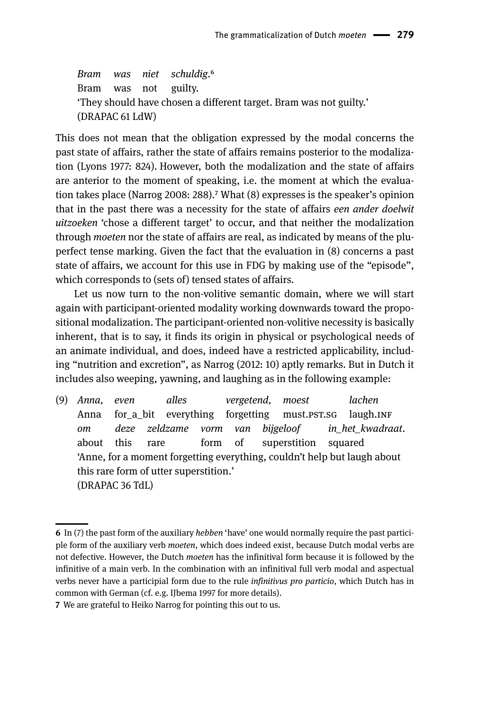*Bram was niet schuldig*.6 Bram was not guilty. 'They should have chosen a different target. Bram was not guilty.' (DRAPAC 61 LdW)6

This does not mean that the obligation expressed by the modal concerns the past state of affairs, rather the state of affairs remains posterior to the modalization (Lyons 1977: 824). However, both the modalization and the state of affairs are anterior to the moment of speaking, i.e. the moment at which the evaluation takes place (Narrog 2008: 288).7 What (8) expresses is the speaker's opinion that in the past there was a necessity for the state of affairs *een ander doelwit uitzoeken* 'chose a different target' to occur, and that neither the modalization through *moeten* nor the state of affairs are real, as indicated by means of the pluperfect tense marking. Given the fact that the evaluation in (8) concerns a past state of affairs, we account for this use in FDG by making use of the "episode", which corresponds to (sets of) tensed states of affairs.

Let us now turn to the non-volitive semantic domain, where we will start again with participant-oriented modality working downwards toward the propositional modalization. The participant-oriented non-volitive necessity is basically inherent, that is to say, it finds its origin in physical or psychological needs of an animate individual, and does, indeed have a restricted applicability, including "nutrition and excretion", as Narrog (2012: 10) aptly remarks. But in Dutch it includes also weeping, yawning, and laughing as in the following example:

(9) *Anna, even alles vergetend, moest lachen* Anna for a bit everything forgetting must.pst.sg laugh.INF *om deze zeldzame vorm van bijgeloof in\_het\_kwadraat*. about this rare form of superstition squared 'Anne, for a moment forgetting everything, couldn't help but laugh about this rare form of utter superstition.' (DRAPAC 36 TdL)

**<sup>6</sup>** In (7) the past form of the auxiliary *hebben* 'have' one would normally require the past participle form of the auxiliary verb *moeten*, which does indeed exist, because Dutch modal verbs are not defective. However, the Dutch *moeten* has the infinitival form because it is followed by the infinitive of a main verb. In the combination with an infinitival full verb modal and aspectual verbs never have a participial form due to the rule *infinitivus pro particio*, which Dutch has in common with German (cf. e.g. IJbema 1997 for more details).

**<sup>7</sup>** We are grateful to Heiko Narrog for pointing this out to us.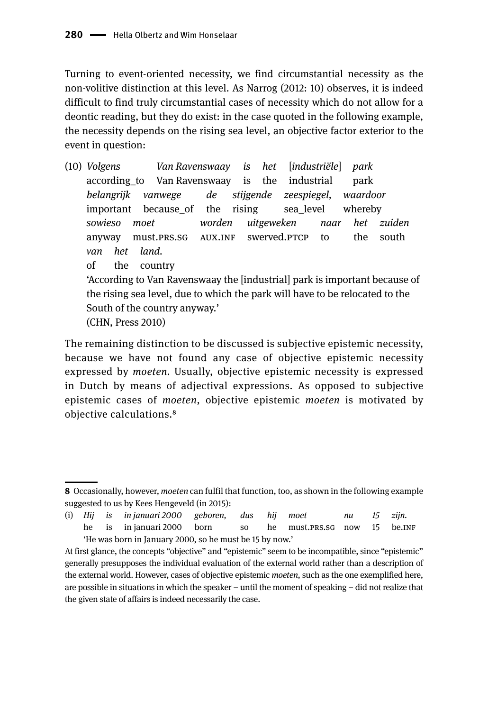Turning to event-oriented necessity, we find circumstantial necessity as the non-volitive distinction at this level. As Narrog (2012: 10) observes, it is indeed difficult to find truly circumstantial cases of necessity which do not allow for a deontic reading, but they do exist: in the case quoted in the following example, the necessity depends on the rising sea level, an objective factor exterior to the event in question:

(10) *Volgens Van Ravenswaay is het* [*industriële*] *park* according\_to Van Ravenswaay is the industrial park *belangrijk vanwege de stijgende zeespiegel, waardoor* important because\_of the rising sea\_level whereby *sowieso moet worden uitgeweken naar het zuiden* anyway must.PRS.SG AUX.INF swerved.PTCP to the south *van het land.* of the country 'According to Van Ravenswaay the [industrial] park is important because of the rising sea level, due to which the park will have to be relocated to the South of the country anyway.' (CHN, Press 2010)

The remaining distinction to be discussed is subjective epistemic necessity, because we have not found any case of objective epistemic necessity expressed by *moeten.* Usually, objective epistemic necessity is expressed in Dutch by means of adjectival expressions. As opposed to subjective epistemic cases of *moeten*, objective epistemic *moeten* is motivated by objective calculations.8

**<sup>8</sup>** Occasionally, however, *moeten* can fulfil that function, too, as shown in the following example suggested to us by Kees Hengeveld (in 2015):

<sup>(</sup>i) *Hij is in januari 2000 geboren, dus hij moet nu 15 zijn.* he is in januari 2000 born so he must.PRS.SG now 15 be.INF 'He was born in January 2000, so he must be 15 by now.'

At first glance, the concepts "objective" and "epistemic" seem to be incompatible, since "epistemic" generally presupposes the individual evaluation of the external world rather than a description of the external world. However, cases of objective epistemic *moeten*, such as the one exemplified here, are possible in situations in which the speaker – until the moment of speaking – did not realize that the given state of affairs is indeed necessarily the case.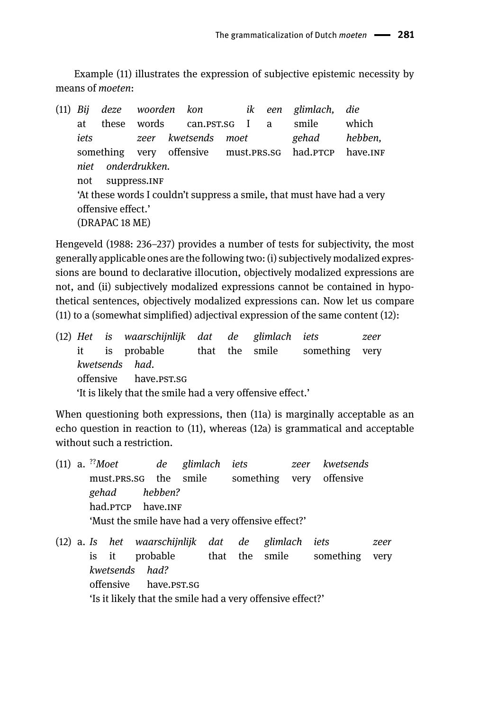Example (11) illustrates the expression of subjective epistemic necessity by means of *moeten*:

(11) *Bij deze woorden kon ik een glimlach, die* at these words can.pst.sg I a smile which *iets zeer kwetsends moet gehad hebben,* something very offensive must.prs.sg had.ptcp have.INF *niet onderdrukken.* not suppress.INF 'At these words I couldn't suppress a smile, that must have had a very offensive effect.' (DRAPAC 18 ME)

Hengeveld (1988: 236-237) provides a number of tests for subjectivity, the most generally applicable ones are the following two: (i) subjectively modalized expressions are bound to declarative illocution, objectively modalized expressions are not, and (ii) subjectively modalized expressions cannot be contained in hypothetical sentences, objectively modalized expressions can. Now let us compare (11) to a (somewhat simplified) adjectival expression of the same content (12):

|                       |  |  |                |  |  |  | zeer                                                                                                                                                          |
|-----------------------|--|--|----------------|--|--|--|---------------------------------------------------------------------------------------------------------------------------------------------------------------|
|                       |  |  |                |  |  |  |                                                                                                                                                               |
|                       |  |  |                |  |  |  |                                                                                                                                                               |
| offensive have.pst.sg |  |  |                |  |  |  |                                                                                                                                                               |
|                       |  |  |                |  |  |  |                                                                                                                                                               |
|                       |  |  | kwetsends had. |  |  |  | (12) Het is waarschijnlijk dat de glimlach iets<br>it is probable that the smile something very<br>'It is likely that the smile had a very offensive effect.' |

When questioning both expressions, then (11a) is marginally acceptable as an echo question in reaction to (11), whereas (12a) is grammatical and acceptable without such a restriction.

|  |                   |  | $(11)$ a. <sup>??</sup> Moet de glimlach iets      | zeer kwetsends |  |
|--|-------------------|--|----------------------------------------------------|----------------|--|
|  |                   |  | must.PRS.SG the smile something very offensive     |                |  |
|  | gehad hebben?     |  |                                                    |                |  |
|  | had.PTCP have.INF |  |                                                    |                |  |
|  |                   |  | 'Must the smile have had a very offensive effect?' |                |  |
|  |                   |  |                                                    |                |  |

(12) a. *Is het waarschijnlijk dat de glimlach iets zeer* is it probable that the smile something very *kwetsends had?* offensive have.pst.sg 'Is it likely that the smile had a very offensive effect?'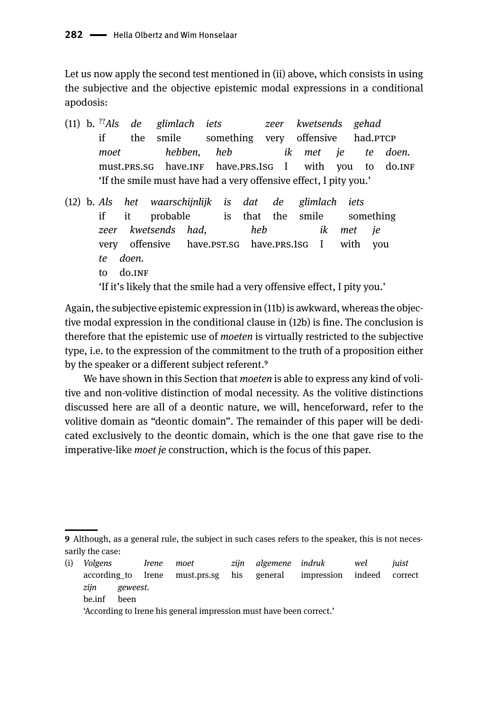Let us now apply the second test mentioned in (ii) above, which consists in using the subjective and the objective epistemic modal expressions in a conditional apodosis:

- (11) b. ??*Als de glimlach iets zeer kwetsends gehad* if the smile something very offensive had.PTCP *moet hebben, heb ik met je te doen.* must.prs.sg have.INF have.prs.1sg I with you to do.INF 'If the smile must have had a very offensive effect, I pity you.'
- (12) b. *Als het waarschijnlijk is dat de glimlach iets* if it probable is that the smile something *zeer kwetsends had, heb ik met je* very offensive have.pst.sg have.prs.1sg I with you *te doen.* to do.INF

'If it's likely that the smile had a very offensive effect, I pity you.'

Again, the subjective epistemic expression in (11b) is awkward, whereas the objective modal expression in the conditional clause in (12b) is fine. The conclusion is therefore that the epistemic use of *moeten* is virtually restricted to the subjective type, i.e. to the expression of the commitment to the truth of a proposition either by the speaker or a different subject referent.<sup>9</sup>

We have shown in this Section that *moeten* is able to express any kind of volitive and non-volitive distinction of modal necessity. As the volitive distinctions discussed here are all of a deontic nature, we will, henceforward, refer to the volitive domain as "deontic domain". The remainder of this paper will be dedicated exclusively to the deontic domain, which is the one that gave rise to the imperative-like *moet je* construction, which is the focus of this paper.

(i) *Volgens Irene moet zijn algemene indruk wel juist* according\_to Irene must.prs.sg his general impression indeed correct *zijn geweest.* be.inf been

**<sup>9</sup>** Although, as a general rule, the subject in such cases refers to the speaker, this is not necessarily the case:

<sup>&#</sup>x27;According to Irene his general impression must have been correct.'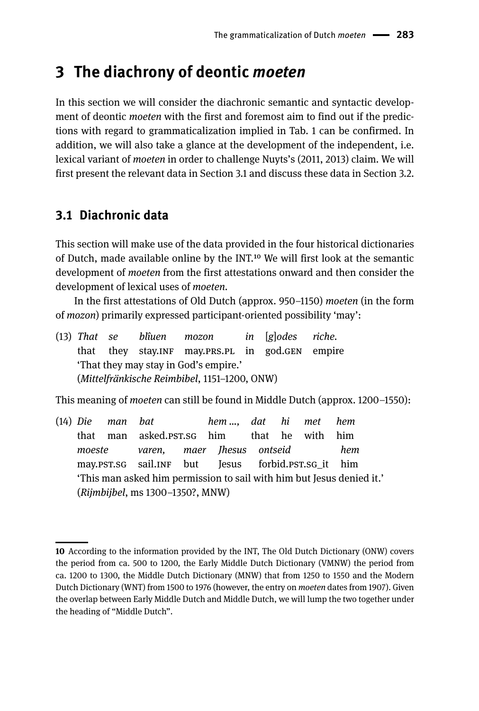## **3 The diachrony of deontic** *moeten*

In this section we will consider the diachronic semantic and syntactic development of deontic *moeten* with the first and foremost aim to find out if the predictions with regard to grammaticalization implied in Tab. 1 can be confirmed. In addition, we will also take a glance at the development of the independent, i.e. lexical variant of *moeten* in order to challenge Nuyts's (2011, 2013) claim. We will first present the relevant data in Section 3.1 and discuss these data in Section 3.2.

### **3.1 Diachronic data**

This section will make use of the data provided in the four historical dictionaries of Dutch, made available online by the INT.10 We will first look at the semantic development of *moeten* from the first attestations onward and then consider the development of lexical uses of *moeten*.

In the first attestations of Old Dutch (approx. 950–1150) *moeten* (in the form of *mozon*) primarily expressed participant-oriented possibility 'may':

(13) *That se blîuen mozon in* [*g*]*odes riche.* that they stay.inf may.prs.pl in god.gen empire 'That they may stay in God's empire.' (*Mittelfränkische Reimbibel*, 1151-1200, ONW)

This meaning of *moeten* can still be found in Middle Dutch (approx. 1200–1550):

(14) *Die man bat hem …, dat hi met hem* that man asked.pst.sg him that he with him *moeste varen, maer Jhesus ontseid hem* may.pst.sg sail.jn but Jesus forbid.pst.sg it him 'This man asked him permission to sail with him but Jesus denied it.' (*Rijmbijbel*, ms 1300‒1350?, MNW)

**<sup>10</sup>** According to the information provided by the INT, The Old Dutch Dictionary (ONW) covers the period from ca. 500 to 1200, the Early Middle Dutch Dictionary (VMNW) the period from ca. 1200 to 1300, the Middle Dutch Dictionary (MNW) that from 1250 to 1550 and the Modern Dutch Dictionary (WNT) from 1500 to 1976 (however, the entry on *moeten* dates from 1907). Given the overlap between Early Middle Dutch and Middle Dutch, we will lump the two together under the heading of "Middle Dutch".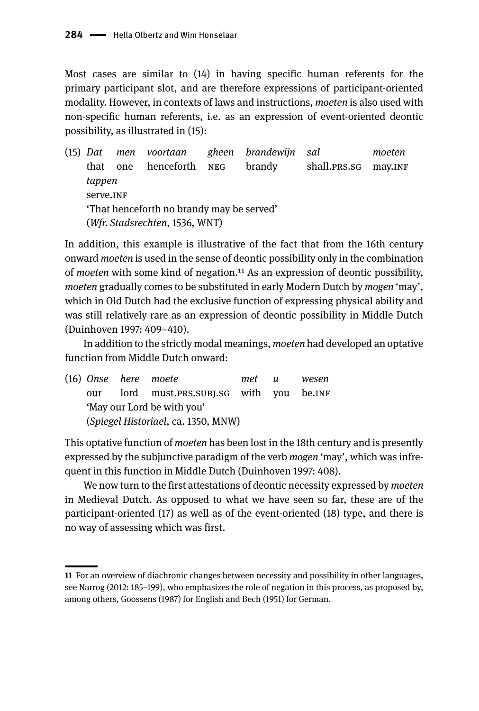Most cases are similar to (14) in having specific human referents for the primary participant slot, and are therefore expressions of participant-oriented modality. However, in contexts of laws and instructions, *moeten* is also used with non-specific human referents, i.e. as an expression of event-oriented deontic possibility, as illustrated in (15):

(15) *Dat men voortaan gheen brandewijn sal moeten* that one henceforth NEG brandy shall.PRS.SG may.INF *tappen* serve.INF 'That henceforth no brandy may be served' (*Wfr. Stadsrechten*, 1536, WNT)

In addition, this example is illustrative of the fact that from the 16th century onward *moeten* is used in the sense of deontic possibility only in the combination of *moeten* with some kind of negation.11 As an expression of deontic possibility, *moeten* gradually comes to be substituted in early Modern Dutch by *mogen* 'may', which in Old Dutch had the exclusive function of expressing physical ability and was still relatively rare as an expression of deontic possibility in Middle Dutch (Duinhoven 1997: 409‒410).

In addition to the strictly modal meanings, *moeten* had developed an optative function from Middle Dutch onward:

(16) *Onse here moete met u wesen* our lord must.PRS.SUBJ.SG with you be.INF 'May our Lord be with you' (*Spiegel Historiael*, ca. 1350, MNW)

This optative function of *moeten* has been lost in the 18th century and is presently expressed by the subjunctive paradigm of the verb *mogen* 'may', which was infrequent in this function in Middle Dutch (Duinhoven 1997: 408).

We now turn to the first attestations of deontic necessity expressed by *moeten*  in Medieval Dutch. As opposed to what we have seen so far, these are of the participant-oriented (17) as well as of the event-oriented (18) type, and there is no way of assessing which was first.

**<sup>11</sup>** For an overview of diachronic changes between necessity and possibility in other languages, see Narrog (2012: 185–199), who emphasizes the role of negation in this process, as proposed by, among others, Goossens (1987) for English and Bech (1951) for German.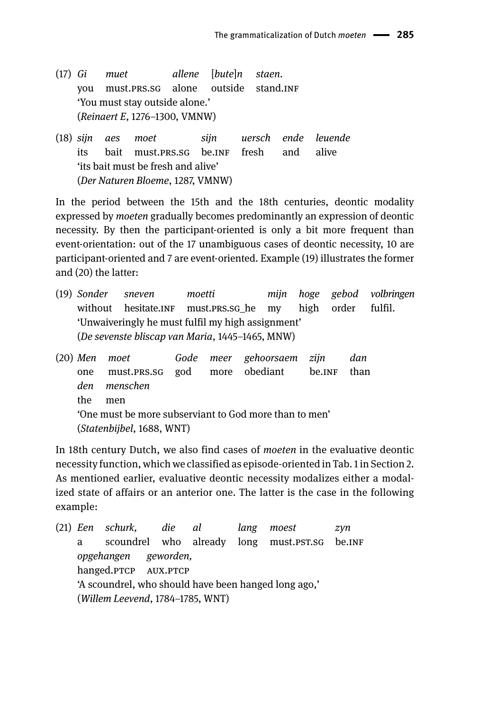- (17) *Gi muet allene* [*bute*]*n staen*. vou must.PRS.SG alone outside stand.INF 'You must stay outside alone.' (*Reinaert E*, 1276‒1300, VMNW)
- (18) *sijn aes moet sijn uersch ende leuende* its bait must.prs.sg be.ung fresh and alive 'its bait must be fresh and alive' (*Der Naturen Bloeme*, 1287, VMNW)

In the period between the 15th and the 18th centuries, deontic modality expressed by *moeten* gradually becomes predominantly an expression of deontic necessity. By then the participant-oriented is only a bit more frequent than event-orientation: out of the 17 unambiguous cases of deontic necessity, 10 are participant-oriented and 7 are event-oriented. Example (19) illustrates the former and (20) the latter:

- (19) *Sonder sneven moetti mijn hoge gebod volbringen* without hesitate.INF must.PRS.SG\_he my high order fulfil. 'Unwaiveringly he must fulfil my high assignment' (*De sevenste bliscap van Maria*, 1445‒1465, MNW)
- (20) *Men moet Gode meer gehoorsaem zijn dan* one must.prs.sg god more obediant be.inf than *den menschen* the men 'One must be more subserviant to God more than to men' (*Statenbijbel*, 1688, WNT)

In 18th century Dutch, we also find cases of *moeten* in the evaluative deontic necessity function, which we classified as episode-oriented in Tab. 1 in Section 2. As mentioned earlier, evaluative deontic necessity modalizes either a modalized state of affairs or an anterior one. The latter is the case in the following example:

(21) *Een schurk, die al lang moest zyn* a scoundrel who already long must.PST.SG be.INF *opgehangen geworden,* hanged.PTCP AUX.PTCP 'A scoundrel, who should have been hanged long ago,' (*Willem Leevend*, 1784‒1785, WNT)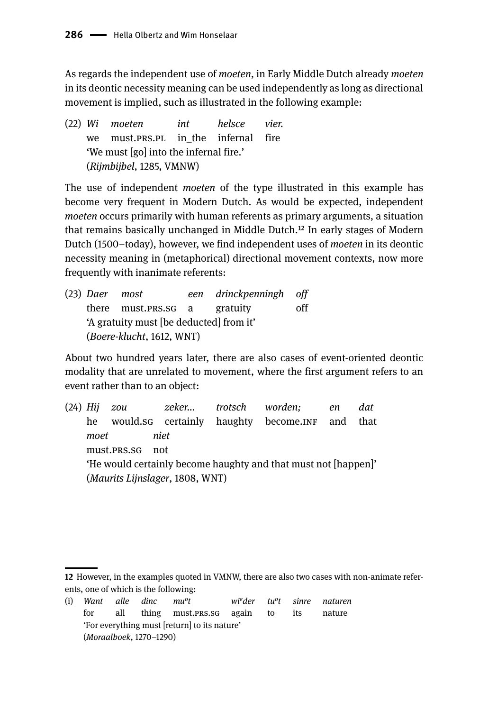As regards the independent use of *moeten*, in Early Middle Dutch already *moeten*  in its deontic necessity meaning can be used independently as long as directional movement is implied, such as illustrated in the following example:

(22) *Wi moeten int helsce vier.* we must.prs.pl in the infernal fire 'We must [go] into the infernal fire.' (*Rijmbijbel*, 1285, VMNW)

The use of independent *moeten* of the type illustrated in this example has become very frequent in Modern Dutch. As would be expected, independent *moeten* occurs primarily with human referents as primary arguments, a situation that remains basically unchanged in Middle Dutch.12 In early stages of Modern Dutch (1500–today), however, we find independent uses of *moeten* in its deontic necessity meaning in (metaphorical) directional movement contexts, now more frequently with inanimate referents:

(23) *Daer most een drinckpenningh off* there must.prs.sg a gratuity off 'A gratuity must [be deducted] from it' (*Boere-klucht*, 1612, WNT)

About two hundred years later, there are also cases of event-oriented deontic modality that are unrelated to movement, where the first argument refers to an event rather than to an object:

(24) *Hij zou zeker... trotsch worden; en dat* he would.sg certainly haughty become.INF and that *moet niet* must.prs.sg not 'He would certainly become haughty and that must not [happen]' (*Maurits Lijnslager*, 1808, WNT)

**<sup>12</sup>** However, in the examples quoted in VMNW, there are also two cases with non-animate referents, one of which is the following:

<sup>(</sup>i) *Want alle dinc muot wieder tuot sinre naturen* for all thing must.prs.sg again to its nature 'For everything must [return] to its nature' (*Moraalboek*, 1270–1290)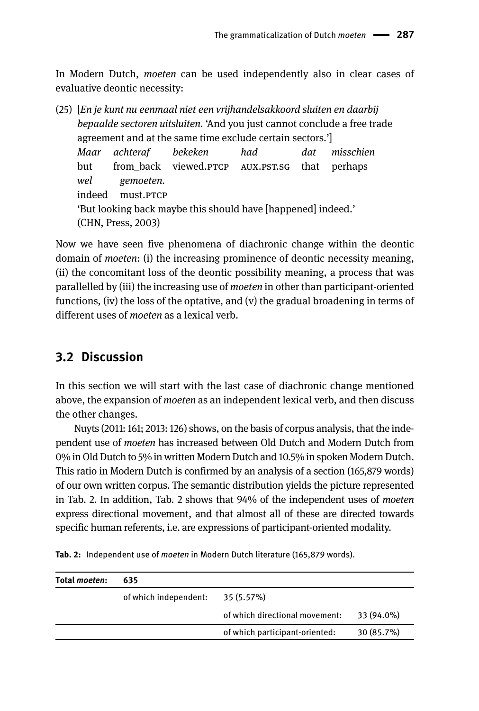In Modern Dutch, *moeten* can be used independently also in clear cases of evaluative deontic necessity:

(25) [*En je kunt nu eenmaal niet een vrijhandelsakkoord sluiten en daarbij bepaalde sectoren uitsluiten.* 'And you just cannot conclude a free trade agreement and at the same time exclude certain sectors.'] *Maar achteraf bekeken had dat misschien* but from back viewed.PTCP AUX.PST.SG that perhaps *wel gemoeten.* indeed must.prcp 'But looking back maybe this should have [happened] indeed.' (CHN, Press, 2003)

Now we have seen five phenomena of diachronic change within the deontic domain of *moeten*: (i) the increasing prominence of deontic necessity meaning, (ii) the concomitant loss of the deontic possibility meaning, a process that was parallelled by (iii) the increasing use of *moeten* in other than participant-oriented functions, (iv) the loss of the optative, and (v) the gradual broadening in terms of different uses of *moeten* as a lexical verb.

#### **3.2 Discussion**

In this section we will start with the last case of diachronic change mentioned above, the expansion of *moeten* as an independent lexical verb, and then discuss the other changes.

Nuyts (2011: 161; 2013: 126) shows, on the basis of corpus analysis, that the independent use of *moeten* has increased between Old Dutch and Modern Dutch from 0% in Old Dutch to 5% in written Modern Dutch and 10.5% in spoken Modern Dutch. This ratio in Modern Dutch is confirmed by an analysis of a section (165,879 words) of our own written corpus. The semantic distribution yields the picture represented in Tab. 2. In addition, Tab. 2 shows that 94% of the independent uses of *moeten* express directional movement, and that almost all of these are directed towards specific human referents, i.e. are expressions of participant-oriented modality.

| Total <i>moeten</i> : | 635                   |                                |            |
|-----------------------|-----------------------|--------------------------------|------------|
|                       | of which independent: | 35 (5.57%)                     |            |
|                       |                       | of which directional movement: | 33 (94.0%) |
|                       |                       | of which participant-oriented: | 30 (85.7%) |

**Tab. 2:** Independent use of *moeten* in Modern Dutch literature (165,879 words).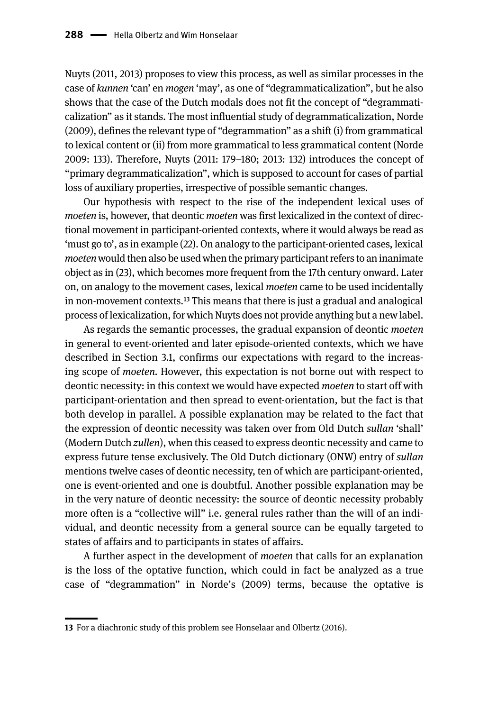Nuyts (2011, 2013) proposes to view this process, as well as similar processes in the case of *kunnen* 'can' en *mogen* 'may', as one of "degrammaticalization", but he also shows that the case of the Dutch modals does not fit the concept of "degrammaticalization" as it stands. The most influential study of degrammaticalization, Norde (2009), defines the relevant type of "degrammation" as a shift (i) from grammatical to lexical content or (ii) from more grammatical to less grammatical content (Norde 2009: 133). Therefore, Nuyts (2011: 179–180; 2013: 132) introduces the concept of "primary degrammaticalization", which is supposed to account for cases of partial loss of auxiliary properties, irrespective of possible semantic changes.

Our hypothesis with respect to the rise of the independent lexical uses of *moeten* is, however, that deontic *moeten* was first lexicalized in the context of directional movement in participant-oriented contexts, where it would always be read as 'must go to', as in example (22). On analogy to the participant-oriented cases, lexical *moeten* would then also be used when the primary participant refers to an inanimate object as in (23), which becomes more frequent from the 17th century onward. Later on, on analogy to the movement cases, lexical *moeten* came to be used incidentally in non-movement contexts.13 This means that there is just a gradual and analogical process of lexicalization, for which Nuyts does not provide anything but a new label.

As regards the semantic processes, the gradual expansion of deontic *moeten*  in general to event-oriented and later episode-oriented contexts, which we have described in Section 3.1, confirms our expectations with regard to the increasing scope of *moeten.* However, this expectation is not borne out with respect to deontic necessity: in this context we would have expected *moeten* to start off with participant-orientation and then spread to event-orientation, but the fact is that both develop in parallel. A possible explanation may be related to the fact that the expression of deontic necessity was taken over from Old Dutch *sullan* 'shall' (Modern Dutch *zullen*), when this ceased to express deontic necessity and came to express future tense exclusively. The Old Dutch dictionary (ONW) entry of *sullan*  mentions twelve cases of deontic necessity, ten of which are participant-oriented, one is event-oriented and one is doubtful. Another possible explanation may be in the very nature of deontic necessity: the source of deontic necessity probably more often is a "collective will" i.e. general rules rather than the will of an individual, and deontic necessity from a general source can be equally targeted to states of affairs and to participants in states of affairs.

A further aspect in the development of *moeten* that calls for an explanation is the loss of the optative function, which could in fact be analyzed as a true case of "degrammation" in Norde's (2009) terms, because the optative is

**<sup>13</sup>** For a diachronic study of this problem see Honselaar and Olbertz (2016).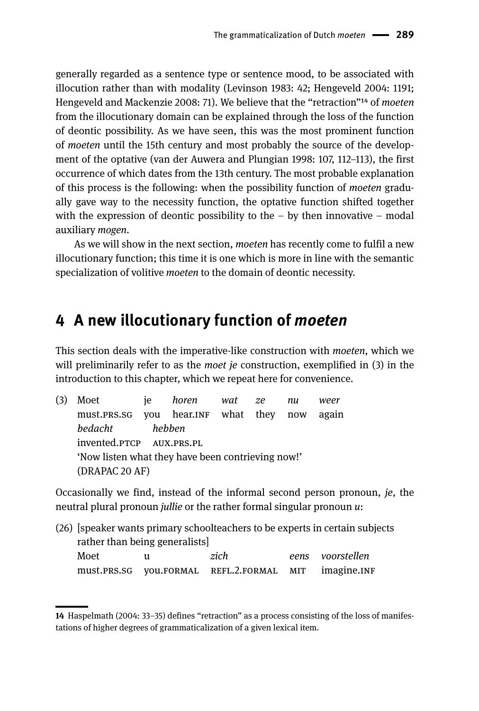generally regarded as a sentence type or sentence mood, to be associated with illocution rather than with modality (Levinson 1983: 42; Hengeveld 2004: 1191; Hengeveld and Mackenzie 2008: 71). We believe that the "retraction"14 of *moeten* from the illocutionary domain can be explained through the loss of the function of deontic possibility. As we have seen, this was the most prominent function of *moeten* until the 15th century and most probably the source of the development of the optative (van der Auwera and Plungian 1998: 107, 112–113), the first occurrence of which dates from the 13th century. The most probable explanation of this process is the following: when the possibility function of *moeten* gradually gave way to the necessity function, the optative function shifted together with the expression of deontic possibility to the  $-$  by then innovative  $-$  modal auxiliary *mogen*.

As we will show in the next section, *moeten* has recently come to fulfil a new illocutionary function; this time it is one which is more in line with the semantic specialization of volitive *moeten* to the domain of deontic necessity.

### **4 A new illocutionary function of** *moeten*

This section deals with the imperative-like construction with *moeten*, which we will preliminarily refer to as the *moet je* construction, exemplified in (3) in the introduction to this chapter, which we repeat here for convenience.

| (3) | Moet                                              | ie | horen wat ze |  | nu | weer |
|-----|---------------------------------------------------|----|--------------|--|----|------|
|     | must.PRS.SG you hear.INF what they now again      |    |              |  |    |      |
|     | bedacht                                           |    | hebben       |  |    |      |
|     | invented.PTCP AUX.PRS.PL                          |    |              |  |    |      |
|     | 'Now listen what they have been contrieving now!' |    |              |  |    |      |
|     | (DRAPAC 20 AF)                                    |    |              |  |    |      |
|     |                                                   |    |              |  |    |      |

Occasionally we find, instead of the informal second person pronoun, *je*, the neutral plural pronoun *jullie* or the rather formal singular pronoun *u*:

|                               |                  |                                          |  | (26) [speaker wants primary schoolteachers to be experts in certain subjects |  |  |  |
|-------------------------------|------------------|------------------------------------------|--|------------------------------------------------------------------------------|--|--|--|
| rather than being generalists |                  |                                          |  |                                                                              |  |  |  |
| Moet                          | eens voorstellen |                                          |  |                                                                              |  |  |  |
|                               |                  | must.PRS.SG VOU.FORMAL REFL.2.FORMAL MIT |  | imagine.INF                                                                  |  |  |  |

**<sup>14</sup>** Haspelmath (2004: 33–35) defines "retraction" as a process consisting of the loss of manifestations of higher degrees of grammaticalization of a given lexical item.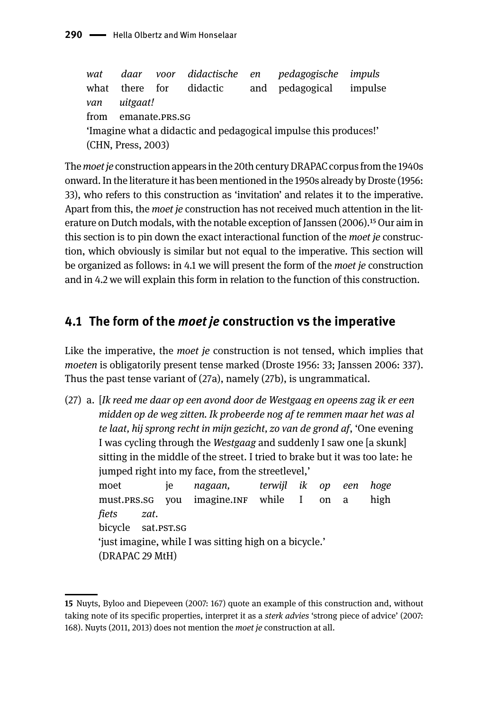*wat daar voor didactische en pedagogische impuls* what there for didactic and pedagogical impulse *van uitgaat!* from emanate.prs.sg 'Imagine what a didactic and pedagogical impulse this produces!' (CHN, Press, 2003)

The *moet je* construction appears in the 20th century DRAPAC corpus from the 1940s onward. In the literature it has been mentioned in the 1950s already by Droste (1956: 33), who refers to this construction as 'invitation' and relates it to the imperative. Apart from this, the *moet je* construction has not received much attention in the literature on Dutch modals, with the notable exception of Janssen (2006).15 Our aim in this section is to pin down the exact interactional function of the *moet je* construction, which obviously is similar but not equal to the imperative. This section will be organized as follows: in 4.1 we will present the form of the *moet je* construction and in 4.2 we will explain this form in relation to the function of this construction.

### **4.1 The form of the** *moet je* **construction vs the imperative**

Like the imperative, the *moet je* construction is not tensed, which implies that *moeten* is obligatorily present tense marked (Droste 1956: 33; Janssen 2006: 337). Thus the past tense variant of (27a), namely (27b), is ungrammatical.

(27) a. [*Ik reed me daar op een avond door de Westgaag en opeens zag ik er een midden op de weg zitten. Ik probeerde nog af te remmen maar het was al te laat, hij sprong recht in mijn gezicht, zo van de grond af*, 'One evening I was cycling through the *Westgaag* and suddenly I saw one [a skunk] sitting in the middle of the street. I tried to brake but it was too late: he jumped right into my face, from the streetlevel,' moet je *nagaan, terwijl ik op een hoge* must.pres.sg you imagine.jng while I on a high *fiets zat*. bicycle sat.PST.SG 'just imagine, while I was sitting high on a bicycle.' (DRAPAC 29 MtH)

**<sup>15</sup>** Nuyts, Byloo and Diepeveen (2007: 167) quote an example of this construction and, without taking note of its specific properties, interpret it as a *sterk advies* 'strong piece of advice' (2007: 168). Nuyts (2011, 2013) does not mention the *moet je* construction at all.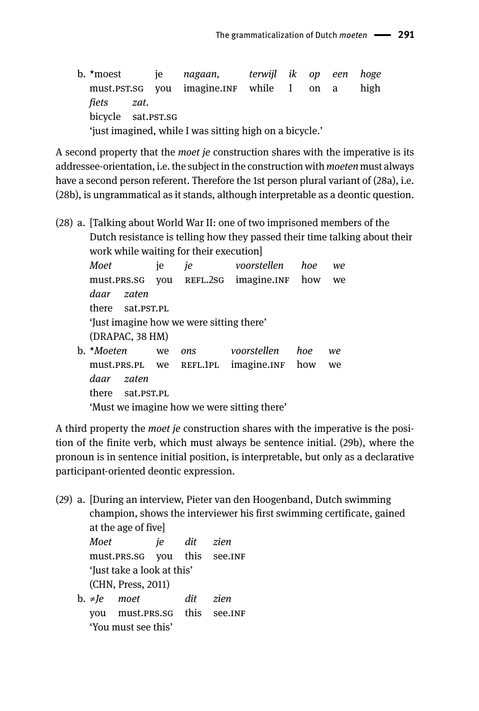b. \*moest je *nagaan, terwijl ik op een hoge* must.pst.sg you imagine.INF while I on a high *fiets zat*. bicycle sat.PST.SG 'just imagined, while I was sitting high on a bicycle.'

A second property that the *moet je* construction shares with the imperative is its addressee-orientation, i.e. the subject in the construction with *moeten* must always have a second person referent. Therefore the 1st person plural variant of (28a), i.e. (28b), is ungrammatical as it stands, although interpretable as a deontic question.

(28) a. [Talking about World War II: one of two imprisoned members of the Dutch resistance is telling how they passed their time talking about their work while waiting for their execution]

*Moet* je *je voorstellen hoe we* must.prs.sg you REFL.2sg imagine.INF how we *daar zaten* there sat.PST.PL 'Just imagine how we were sitting there' (DRAPAC, 38 HM) b. \**Moeten* we *ons voorstellen hoe we* must.prs.pl we refl.1pl imagine.inf how we *daar zaten* there sat.psT.pL 'Must we imagine how we were sitting there'

A third property the *moet je* construction shares with the imperative is the position of the finite verb, which must always be sentence initial. (29b), where the pronoun is in sentence initial position, is interpretable, but only as a declarative participant-oriented deontic expression.

(29) a. [During an interview, Pieter van den Hoogenband, Dutch swimming champion, shows the interviewer his first swimming certificate, gained at the age of five]

*Moet je dit zien* must.prs.sg you this see.inf 'Just take a look at this' (CHN, Press, 2011) b. ≠*Je moet dit zien*

you must.PRS.SG this see.INF 'You must see this'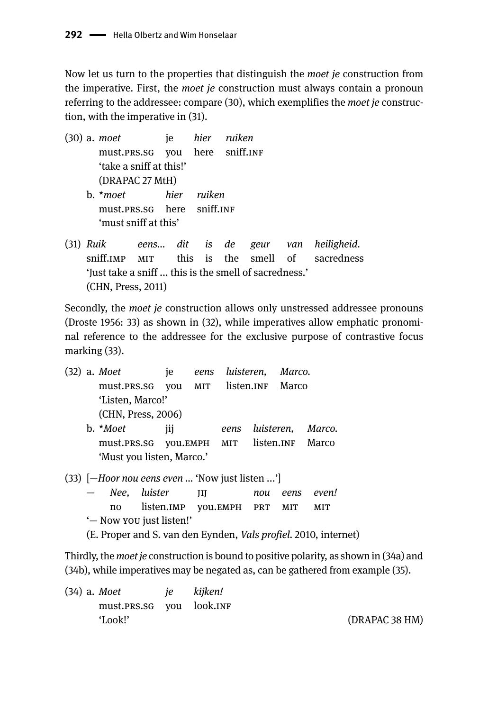Now let us turn to the properties that distinguish the *moet je* construction from the imperative. First, the *moet je* construction must always contain a pronoun referring to the addressee: compare (30), which exemplifies the *moet je* construction, with the imperative in (31).

(30) a. *moet* je *hier ruiken* must.prs.sg you here sniff.inf 'take a sniff at this!' (DRAPAC 27 MtH) b. \**moet hier ruiken* must.prs.sg here sniff.inf 'must sniff at this'

(31) *Ruik eens... dit is de geur van heiligheid.* sniff.IMP MIT this is the smell of sacredness 'Just take a sniff ... this is the smell of sacredness.' (CHN, Press, 2011)

Secondly, the *moet je* construction allows only unstressed addressee pronouns (Droste 1956: 33) as shown in (32), while imperatives allow emphatic pronominal reference to the addressee for the exclusive purpose of contrastive focus marking (33).

(32) a. *Moet* je *eens luisteren, Marco.* must.prs.sg you MIT listen.INF Marco 'Listen, Marco!' (CHN, Press, 2006) b. \**Moet* jij *eens luisteren, Marco.*

must.prs.sg you.emph mit listen.inf Marco 'Must you listen, Marco.'

(33) [—*Hoor nou eens even ...* 'Now just listen ...']

- *Nee, luister* jij *nou eens even!* no listen.imp you.emph prt mit mit '— Now you just listen!'
- (E. Proper and S. van den Eynden, *Vals profiel.* 2010, internet)

Thirdly, the *moet je* construction is bound to positive polarity, as shown in (34a) and (34b), while imperatives may be negated as, can be gathered from example (35).

(34) a. *Moet je kijken!* must.prs.sg you look.inf 'Look!' (DRAPAC 38 HM)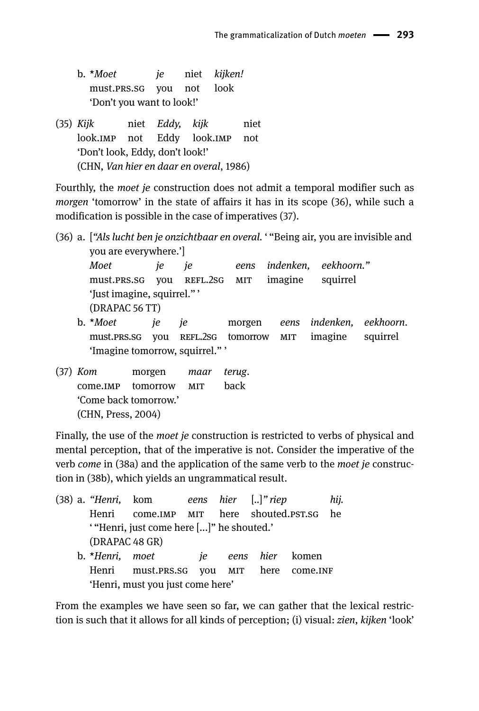| $b.$ * <i>Moet</i>        | ie | niet <i>kijken!</i> |
|---------------------------|----|---------------------|
| must.PRS.SG you not look  |    |                     |
| 'Don't you want to look!' |    |                     |

(35) *Kijk* niet *Eddy, kijk* niet look.imp not Eddy look.imp not 'Don't look, Eddy, don't look!' (CHN, *Van hier en daar en overal*, 1986)

Fourthly, the *moet je* construction does not admit a temporal modifier such as *morgen* 'tomorrow' in the state of affairs it has in its scope (36), while such a modification is possible in the case of imperatives (37).

(36) a. [*"Als lucht ben je onzichtbaar en overal.* ' "Being air, you are invisible and you are everywhere.'] *Moet je je eens indenken, eekhoorn."* must.prs.sg you REFL.2sg MIT imagine squirrel 'Just imagine, squirrel." ' (DRAPAC 56 TT) b. \**Moet je je* morgen *eens indenken, eekhoorn*. must.prs.sg you REFL.2sg tomorrow MIT imagine squirrel

'Imagine tomorrow, squirrel." '

(37) *Kom* morgen *maar terug*. come.imp tomorrow mit back 'Come back tomorrow.' (CHN, Press, 2004)

Finally, the use of the *moet je* construction is restricted to verbs of physical and mental perception, that of the imperative is not. Consider the imperative of the verb *come* in (38a) and the application of the same verb to the *moet je* construction in (38b), which yields an ungrammatical result.

(38) a. *"Henri,* kom *eens hier* [*..*]*" riep hij.* Henri come.IMP MIT here shouted.PST.SG he ' "Henri, just come here [...]" he shouted.' (DRAPAC 48 GR) b. \**Henri, moet je eens hier* komen Henri must.prs.sg you MIT here come.INF 'Henri, must you just come here'

From the examples we have seen so far, we can gather that the lexical restriction is such that it allows for all kinds of perception; (i) visual: *zien*, *kijken* 'look'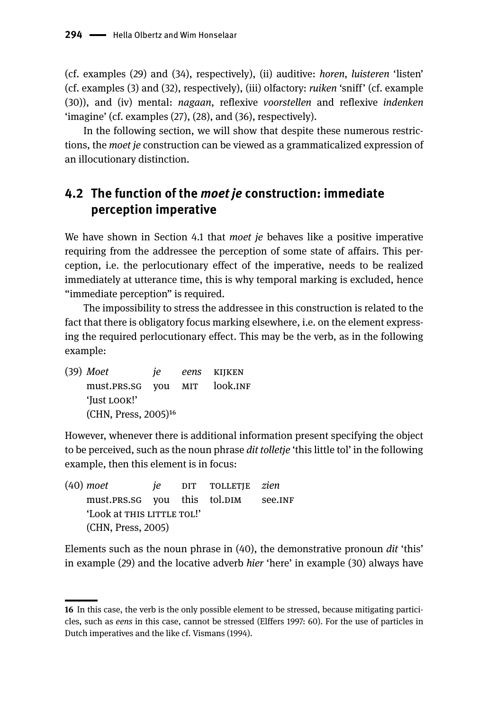(cf. examples (29) and (34), respectively), (ii) auditive: *horen*, *luisteren* 'listen' (cf. examples (3) and (32), respectively), (iii) olfactory: *ruiken* 'sniff' (cf. example (30)), and (iv) mental: *nagaan*, reflexive *voorstellen* and reflexive *indenken* 'imagine' (cf. examples (27), (28), and (36), respectively).

In the following section, we will show that despite these numerous restrictions, the *moet je* construction can be viewed as a grammaticalized expression of an illocutionary distinction.

### **4.2 The function of the** *moet je* **construction: immediate perception imperative**

We have shown in Section 4.1 that *moet je* behaves like a positive imperative requiring from the addressee the perception of some state of affairs. This perception, i.e. the perlocutionary effect of the imperative, needs to be realized immediately at utterance time, this is why temporal marking is excluded, hence "immediate perception" is required.

The impossibility to stress the addressee in this construction is related to the fact that there is obligatory focus marking elsewhere, i.e. on the element expressing the required perlocutionary effect. This may be the verb, as in the following example:

(39) *Moet je eens* kijken must.prs.sg you mit look.inf 'Just look!' (CHN, Press, 2005)16

However, whenever there is additional information present specifying the object to be perceived, such as the noun phrase *dit tolletje* 'this little tol' in the following example, then this element is in focus:

(40) *moet je* dit tolletje *zien* must.prs.sg you this tol.DIM see.INF 'Look at THIS LITTLE TOL!' (CHN, Press, 2005)

Elements such as the noun phrase in (40), the demonstrative pronoun *dit* 'this' in example (29) and the locative adverb *hier* 'here' in example (30) always have

**<sup>16</sup>** In this case, the verb is the only possible element to be stressed, because mitigating particicles, such as *eens* in this case, cannot be stressed (Elffers 1997: 60). For the use of particles in Dutch imperatives and the like cf. Vismans (1994).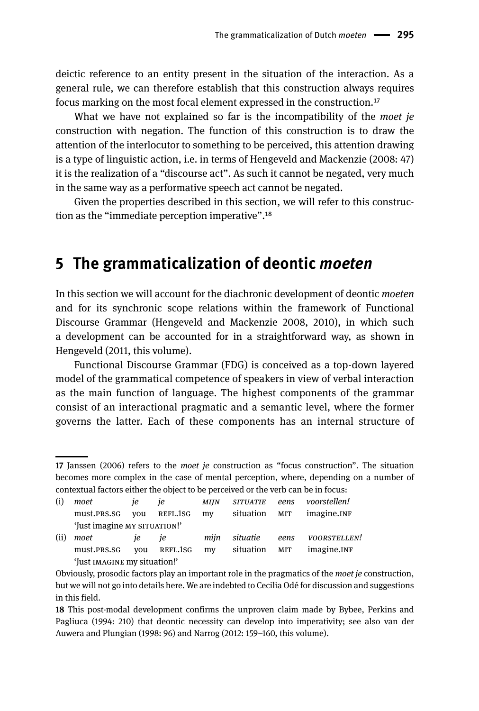deictic reference to an entity present in the situation of the interaction. As a general rule, we can therefore establish that this construction always requires focus marking on the most focal element expressed in the construction.17

What we have not explained so far is the incompatibility of the *moet je*  construction with negation. The function of this construction is to draw the attention of the interlocutor to something to be perceived, this attention drawing is a type of linguistic action, i.e. in terms of Hengeveld and Mackenzie (2008: 47) it is the realization of a "discourse act". As such it cannot be negated, very much in the same way as a performative speech act cannot be negated.

Given the properties described in this section, we will refer to this construction as the "immediate perception imperative".18

### **5 The grammaticalization of deontic** *moeten*

In this section we will account for the diachronic development of deontic *moeten*  and for its synchronic scope relations within the framework of Functional Discourse Grammar (Hengeveld and Mackenzie 2008, 2010), in which such a development can be accounted for in a straightforward way, as shown in Hengeveld (2011, this volume).

Functional Discourse Grammar (FDG) is conceived as a top-down layered model of the grammatical competence of speakers in view of verbal interaction as the main function of language. The highest components of the grammar consist of an interactional pragmatic and a semantic level, where the former governs the latter. Each of these components has an internal structure of

**<sup>17</sup>** Janssen (2006) refers to the *moet je* construction as "focus construction". The situation becomes more complex in the case of mental perception, where, depending on a number of contextual factors either the object to be perceived or the verb can be in focus:

| (i)  | moet                         | ie. | ie       | <b>MIIN</b> | <b>SITUATIE</b> | eens | voorstellen! |
|------|------------------------------|-----|----------|-------------|-----------------|------|--------------|
|      | must.PRS.SG                  | vou | REFL.1SG | my          | situation MIT   |      | imagine.INF  |
|      | 'Just imagine MY SITUATION!' |     |          |             |                 |      |              |
| (ii) | moet                         | ie. | ie       | miin        | situatie        | eens | VOORSTELLEN! |
|      | must.PRS.SG                  | vou | REFL.1SG | my          | situation       | MIT  | imagine.INF  |
|      | 'Just IMAGINE my situation!' |     |          |             |                 |      |              |

Obviously, prosodic factors play an important role in the pragmatics of the *moet je* construction, but we will not go into details here. We are indebted to Cecilia Odé for discussion and suggestions in this field.

**<sup>18</sup>** This post-modal development confirms the unproven claim made by Bybee, Perkins and Pagliuca (1994: 210) that deontic necessity can develop into imperativity; see also van der Auwera and Plungian (1998: 96) and Narrog (2012: 159–160, this volume).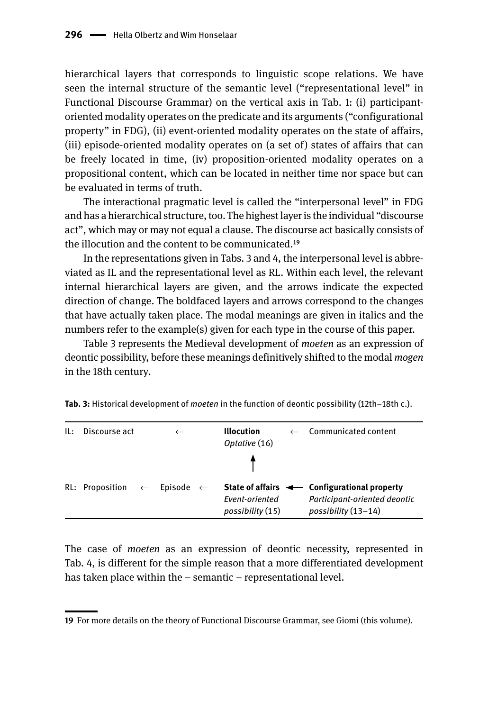hierarchical layers that corresponds to linguistic scope relations. We have seen the internal structure of the semantic level ("representational level" in Functional Discourse Grammar) on the vertical axis in Tab. 1: (i) participantoriented modality operates on the predicate and its arguments ("configurational property" in FDG), (ii) event-oriented modality operates on the state of affairs, (iii) episode-oriented modality operates on (a set of) states of affairs that can be freely located in time, (iv) proposition-oriented modality operates on a propositional content, which can be located in neither time nor space but can be evaluated in terms of truth.

The interactional pragmatic level is called the "interpersonal level" in FDG and has a hierarchical structure, too. The highest layer is the individual "discourse act", which may or may not equal a clause. The discourse act basically consists of the illocution and the content to be communicated.19

In the representations given in Tabs. 3 and 4, the interpersonal level is abbreviated as IL and the representational level as RL. Within each level, the relevant internal hierarchical layers are given, and the arrows indicate the expected direction of change. The boldfaced layers and arrows correspond to the changes that have actually taken place. The modal meanings are given in italics and the numbers refer to the example(s) given for each type in the course of this paper.

Table 3 represents the Medieval development of *moeten* as an expression of deontic possibility, before these meanings definitively shifted to the modal *mogen* in the 18th century*.*

| IL: | Discourse act                                     |  | <b>Illocution</b><br>Optative (16) | Communicated content                                                                                          |
|-----|---------------------------------------------------|--|------------------------------------|---------------------------------------------------------------------------------------------------------------|
|     |                                                   |  |                                    |                                                                                                               |
|     | RL: Proposition $\leftarrow$ Episode $\leftarrow$ |  | Event-oriented<br>possibility (15) | State of affairs $\leftarrow$ Configurational property<br>Participant-oriented deontic<br>possibility (13-14) |

**Tab. 3:** Historical development of *moeten* in the function of deontic possibility (12th–18th c.).

The case of *moeten* as an expression of deontic necessity, represented in Tab. 4, is different for the simple reason that a more differentiated development has taken place within the – semantic – representational level.

**<sup>19</sup>** For more details on the theory of Functional Discourse Grammar, see Giomi (this volume).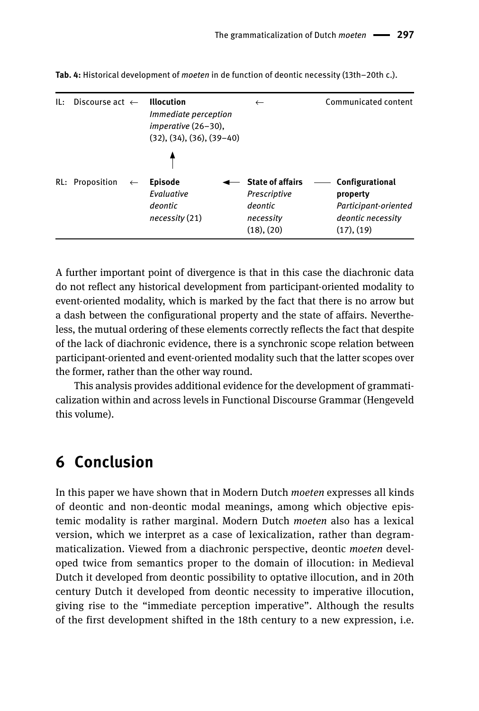| IL: | Discourse act $\leftarrow$      | <b>Illocution</b><br><i>Immediate perception</i><br>imperative (26-30),<br>$(32), (34), (36), (39-40)$ | $\leftarrow$                                       | Communicated content                                                                   |
|-----|---------------------------------|--------------------------------------------------------------------------------------------------------|----------------------------------------------------|----------------------------------------------------------------------------------------|
|     |                                 |                                                                                                        | <b>State of affairs</b>                            |                                                                                        |
|     | RL: Proposition<br>$\leftarrow$ | <b>Episode</b><br>Evaluative<br>deontic<br>necessity(21)                                               | Prescriptive<br>deontic<br>necessitv<br>(18), (20) | Configurational<br>property<br>Participant-oriented<br>deontic necessity<br>(17), (19) |

**Tab. 4:** Historical development of *moeten* in de function of deontic necessity (13th–20th c.).

A further important point of divergence is that in this case the diachronic data do not reflect any historical development from participant-oriented modality to event-oriented modality, which is marked by the fact that there is no arrow but a dash between the configurational property and the state of affairs. Nevertheless, the mutual ordering of these elements correctly reflects the fact that despite of the lack of diachronic evidence, there is a synchronic scope relation between participant-oriented and event-oriented modality such that the latter scopes over the former, rather than the other way round.

This analysis provides additional evidence for the development of grammaticalization within and across levels in Functional Discourse Grammar (Hengeveld this volume).

## **6 Conclusion**

In this paper we have shown that in Modern Dutch *moeten* expresses all kinds of deontic and non-deontic modal meanings, among which objective epistemic modality is rather marginal. Modern Dutch *moeten* also has a lexical version, which we interpret as a case of lexicalization, rather than degrammaticalization. Viewed from a diachronic perspective, deontic *moeten* developed twice from semantics proper to the domain of illocution: in Medieval Dutch it developed from deontic possibility to optative illocution, and in 20th century Dutch it developed from deontic necessity to imperative illocution, giving rise to the "immediate perception imperative". Although the results of the first development shifted in the 18th century to a new expression, i.e.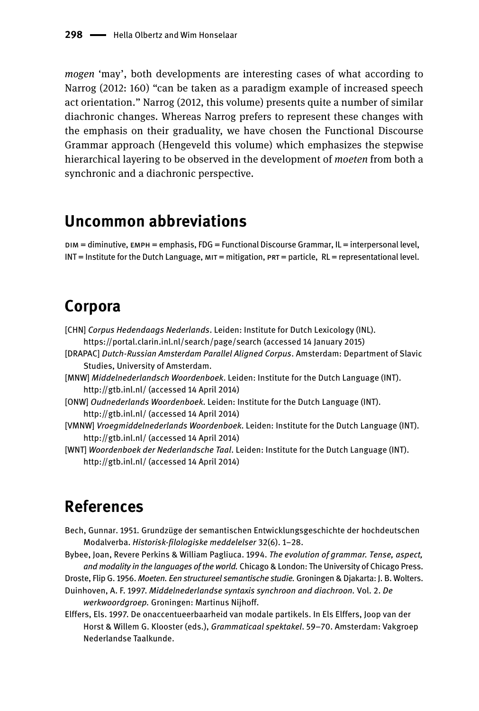*mogen* 'may', both developments are interesting cases of what according to Narrog (2012: 160) "can be taken as a paradigm example of increased speech act orientation." Narrog (2012, this volume) presents quite a number of similar diachronic changes. Whereas Narrog prefers to represent these changes with the emphasis on their graduality, we have chosen the Functional Discourse Grammar approach (Hengeveld this volume) which emphasizes the stepwise hierarchical layering to be observed in the development of *moeten* from both a synchronic and a diachronic perspective.

## **Uncommon abbreviations**

dim = diminutive, emph = emphasis, FDG = Functional Discourse Grammar, IL = interpersonal level,  $INT = Institute$  for the Dutch Language,  $MIT =$  mitigation,  $ORT =$  particle,  $RL =$  representational level.

## **Corpora**

- [CHN] *Corpus Hedendaags Nederlands*. Leiden: Institute for Dutch Lexicology (INL). https://portal.clarin.inl.nl/search/page/search (accessed 14 January 2015)
- [DRAPAC] *Dutch-Russian Amsterdam Parallel Aligned Corpus*. Amsterdam: Department of Slavic Studies, University of Amsterdam.
- [MNW] *Middelnederlandsch Woordenboek*. Leiden: Institute for the Dutch Language (INT). http://gtb.inl.nl/ (accessed 14 April 2014)
- [ONW] *Oudnederlands Woordenboek*. Leiden: Institute for the Dutch Language (INT). http://gtb.inl.nl/ (accessed 14 April 2014)
- [VMNW] *Vroegmiddelnederlands Woordenboek*. Leiden: Institute for the Dutch Language (INT). http://gtb.inl.nl/ (accessed 14 April 2014)
- [WNT] *Woordenboek der Nederlandsche Taal*. Leiden: Institute for the Dutch Language (INT). http://gtb.inl.nl/ (accessed 14 April 2014)

## **References**

- Bech, Gunnar. 1951. Grundzüge der semantischen Entwicklungsgeschichte der hochdeutschen Modalverba. *Historisk-filologiske meddelelser* 32(6). 1‒28.
- Bybee, Joan, Revere Perkins & William Pagliuca. 1994. *The evolution of grammar. Tense, aspect, and modality in the languages of the world.* Chicago & London: The University of Chicago Press.
- Droste, Flip G. 1956. *Moeten. Een structureel semantische studie.* Groningen & Djakarta: J. B. Wolters. Duinhoven, A. F. 1997. *Middelnederlandse syntaxis synchroon and diachroon.* Vol. 2. *De* 
	- *werkwoordgroep.* Groningen: Martinus Nijhoff.
- Elffers, Els. 1997. De onaccentueerbaarheid van modale partikels. In Els Elffers, Joop van der Horst & Willem G. Klooster (eds.), *Grammaticaal spektakel*. 59–70. Amsterdam: Vakgroep Nederlandse Taalkunde.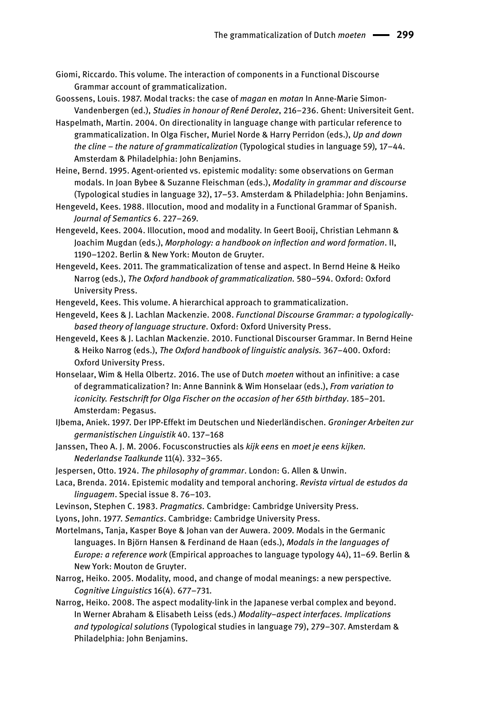- Giomi, Riccardo. This volume. The interaction of components in a Functional Discourse Grammar account of grammaticalization.
- Goossens, Louis. 1987. Modal tracks: the case of *magan* en *motan* In Anne-Marie Simon-Vandenbergen (ed.), *Studies in honour of René Derolez*, 216-236. Ghent: Universiteit Gent.
- Haspelmath, Martin. 2004. On directionality in language change with particular reference to grammaticalization. In Olga Fischer, Muriel Norde & Harry Perridon (eds.), *Up and down the cline – the nature of grammaticalization* (Typological studies in language 59)*,* 17–44. Amsterdam & Philadelphia: John Benjamins.
- Heine, Bernd. 1995. Agent-oriented vs. epistemic modality: some observations on German modals. In Joan Bybee & Suzanne Fleischman (eds.), *Modality in grammar and discourse* (Typological studies in language 32), 17–53. Amsterdam & Philadelphia: John Benjamins.
- Hengeveld, Kees. 1988. Illocution, mood and modality in a Functional Grammar of Spanish. *Journal of Semantics* 6. 227–269.
- Hengeveld, Kees. 2004. Illocution, mood and modality. In Geert Booij, Christian Lehmann & Joachim Mugdan (eds.), *Morphology: a handbook on inflection and word formation*. II, 1190–1202. Berlin & New York: Mouton de Gruyter.
- Hengeveld, Kees. 2011. The grammaticalization of tense and aspect. In Bernd Heine & Heiko Narrog (eds.), *The Oxford handbook of grammaticalization.* 580–594. Oxford: Oxford University Press.
- Hengeveld, Kees. This volume. A hierarchical approach to grammaticalization.
- Hengeveld, Kees & J. Lachlan Mackenzie. 2008. *Functional Discourse Grammar: a typologicallybased theory of language structure*. Oxford: Oxford University Press.
- Hengeveld, Kees & J. Lachlan Mackenzie. 2010. Functional Discourser Grammar. In Bernd Heine & Heiko Narrog (eds.), *The Oxford handbook of linguistic analysis.* 367–400. Oxford: Oxford University Press.
- Honselaar, Wim & Hella Olbertz. 2016. The use of Dutch *moeten* without an infinitive: a case of degrammaticalization? In: Anne Bannink & Wim Honselaar (eds.), *From variation to iconicity. Festschrift for Olga Fischer on the occasion of her 65th birthday.* 185-201. Amsterdam: Pegasus.
- IJbema, Aniek. 1997. Der IPP-Effekt im Deutschen und Niederländischen. *Groninger Arbeiten zur germanistischen Linguistik* 40. 137–168
- Janssen, Theo A. J. M. 2006. Focusconstructies als *kijk eens* en *moet je eens kijken. Nederlandse Taalkunde* 11(4). 332–365.
- Jespersen, Otto. 1924. *The philosophy of grammar*. London: G. Allen & Unwin.
- Laca, Brenda. 2014. Epistemic modality and temporal anchoring. *Revista virtual de estudos da linguagem*. Special issue 8. 76–103.
- Levinson, Stephen C. 1983. *Pragmatics.* Cambridge: Cambridge University Press.
- Lyons, John. 1977. *Semantics*. Cambridge: Cambridge University Press.

Mortelmans, Tanja, Kasper Boye & Johan van der Auwera. 2009. Modals in the Germanic languages. In Björn Hansen & Ferdinand de Haan (eds.), *Modals in the languages of Europe: a reference work* (Empirical approaches to language typology 44), 11–69. Berlin & New York: Mouton de Gruyter.

- Narrog, Heiko. 2005. Modality, mood, and change of modal meanings: a new perspective*. Cognitive Linguistics* 16(4). 677–731.
- Narrog, Heiko. 2008. The aspect modality-link in the Japanese verbal complex and beyond. In Werner Abraham & Elisabeth Leiss (eds.) *Modality-aspect interfaces. Implications* and typological solutions (Typological studies in language 79), 279-307. Amsterdam & Philadelphia: John Benjamins.